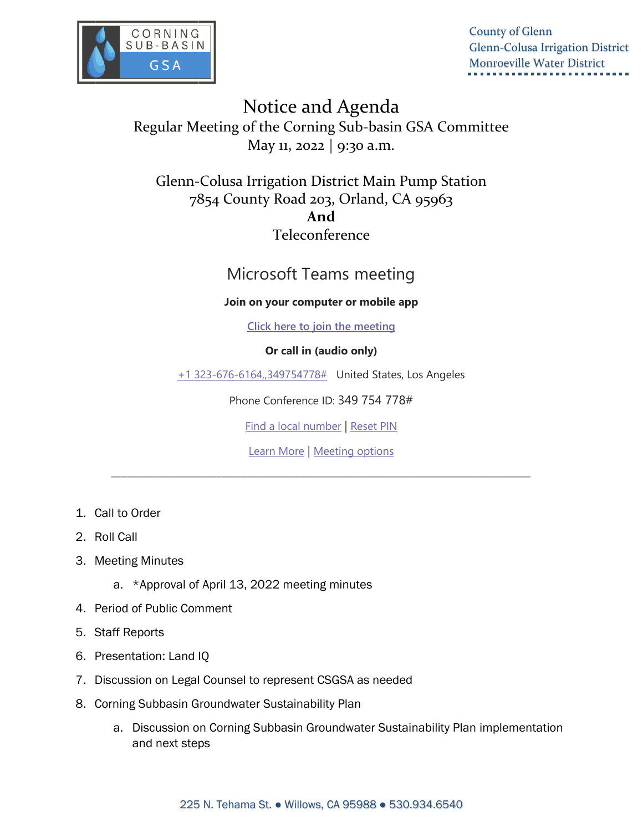

County of Glenn Glenn-Colusa Irrigation District Monroeville Water District

Notice and Agenda Regular Meeting of the Corning Sub-basin GSA Committee May 11, 2022 | 9:30 a.m.

Glenn-Colusa Irrigation District Main Pump Station 7854 County Road 203, Orland, CA 95963 **And**  Teleconference

# Microsoft Teams meeting

### **Join on your computer or mobile app**

**[Click here to join the meeting](https://teams.microsoft.com/l/meetup-join/19%3ameeting_NjFjYWZjN2UtMGRiZC00NzU0LTlkODYtMDI0ZmZlZGQ5NTQx%40thread.v2/0?context=%7b%22Tid%22%3a%22c4b8b9b4-758f-42d1-ab7d-7abbb2b863f9%22%2c%22Oid%22%3a%22fd30fdc1-bb59-4fdf-aec6-b6acdcba876d%22%7d)**

## **Or call in (audio only)**

[+1 323-676-6164,,349754778#](tel:+13236766164,,349754778# ) United States, Los Angeles

Phone Conference ID: 349 754 778#

[Find a local number](https://dialin.teams.microsoft.com/2a88a23a-57a4-49cb-91ff-e37e6ba1c580?id=349754778) | [Reset PIN](https://mysettings.lync.com/pstnconferencing)

[Learn More](https://aka.ms/JoinTeamsMeeting) | [Meeting options](https://teams.microsoft.com/meetingOptions/?organizerId=fd30fdc1-bb59-4fdf-aec6-b6acdcba876d&tenantId=c4b8b9b4-758f-42d1-ab7d-7abbb2b863f9&threadId=19_meeting_NjFjYWZjN2UtMGRiZC00NzU0LTlkODYtMDI0ZmZlZGQ5NTQx@thread.v2&messageId=0&language=en-US)

\_\_\_\_\_\_\_\_\_\_\_\_\_\_\_\_\_\_\_\_\_\_\_\_\_\_\_\_\_\_\_\_\_\_\_\_\_\_\_\_\_\_\_\_\_\_\_\_\_\_\_\_\_\_\_\_\_\_\_\_\_\_\_\_\_\_\_\_\_\_\_\_\_\_\_\_\_\_\_\_

- 1. Call to Order
- 2. Roll Call
- 3. Meeting Minutes
	- a. \*Approval of April 13, 2022 meeting minutes
- 4. Period of Public Comment
- 5. Staff Reports
- 6. Presentation: Land IQ
- 7. Discussion on Legal Counsel to represent CSGSA as needed
- 8. Corning Subbasin Groundwater Sustainability Plan
	- a. Discussion on Corning Subbasin Groundwater Sustainability Plan implementation and next steps